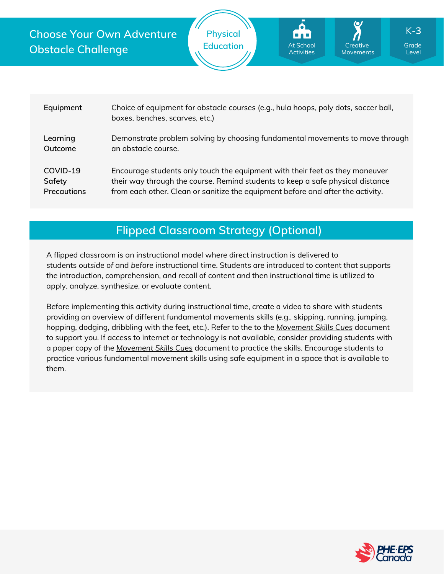



| Equipment          | Choice of equipment for obstacle courses (e.g., hula hoops, poly dots, soccer ball,<br>boxes, benches, scarves, etc.) |
|--------------------|-----------------------------------------------------------------------------------------------------------------------|
| Learning           | Demonstrate problem solving by choosing fundamental movements to move through                                         |
| Outcome            | an obstacle course.                                                                                                   |
| COVID-19           | Encourage students only touch the equipment with their feet as they maneuver                                          |
| Safety             | their way through the course. Remind students to keep a safe physical distance                                        |
| <b>Precautions</b> | from each other. Clean or sanitize the equipment before and after the activity.                                       |

## **Flipped Classroom Strategy (Optional)**

A flipped classroom is an instructional model where direct instruction is delivered to students *outside of* and *before* instructional time. Students are introduced to content that supports the introduction, comprehension, and recall of content and then instructional time is utilized to apply, analyze, synthesize, or evaluate content.

Before implementing this activity during instructional time, create a video to share with students providing an overview of different fundamental movements skills (e.g., skipping, running, jumping, hopping, dodging, dribbling with the feet, etc.). Refer to the to the *[Movement](https://phecanada.ca/sites/default/files/content/docs/Home%20Learning%20Resource/Movement%20Cues/Movement%20Skills%20Cues%201.pdf) Skills Cues* document to support you. If access to internet or technology is not available, consider providing students with a paper copy of the *[Movement](https://phecanada.ca/sites/default/files/content/docs/Home%20Learning%20Resource/Movement%20Cues/Movement%20Skills%20Cues%201.pdf) Skills Cues* document to practice the skills. Encourage students to practice various fundamental movement skills using safe equipment in a space that is available to them.

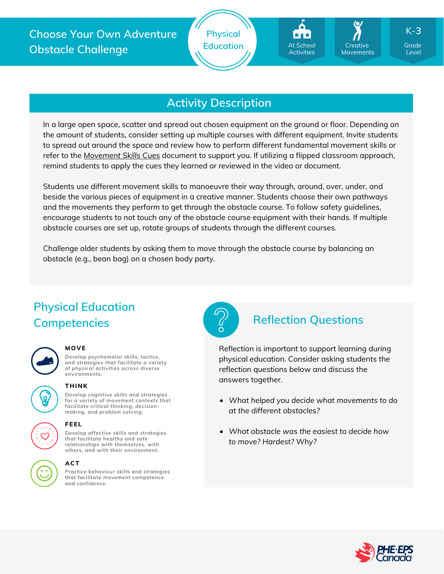# **Activity Description**

In a large open space, scatter and spread out chosen equipment on the ground or floor. Depending on the amount of students, consider setting up multiple courses with different equipment. Invite students to spread out around the space and review how to perform different fundamental movement skills or refer to the *[Movement](https://phecanada.ca/sites/default/files/content/docs/Home%20Learning%20Resource/Movement%20Cues/Movement%20Skills%20Cues%201.pdf) Skills Cues* document to support you. If utilizing a flipped classroom approach, remind students to apply the cues they learned or reviewed in the video or document.

Students use different movement skills to manoeuvre their way through, around, over, under, and beside the various pieces of equipment in a creative manner. Students choose their own pathways and the movements they perform to get through the obstacle course. To follow safety guidelines, encourage students to not touch any of the obstacle course equipment with their hands. If multiple obstacle courses are set up, rotate groups of students through the different courses.

Challenge older students by asking them to move through the obstacle course by balancing an obstacle (e.g., bean bag) on a chosen body party.

# **Physical Education Competencies Reflection Questions**



### **MOVE**

**Develop psychomotor skills, tactics, and strategies that facilitate a variety of physical activities across diverse environments.**



### **THINK**

**Develop cognitive skills and strategies for a variety of movement contexts that facilitate critical thinking, decision making, and problem solving.**





# **FEEL**

**Develop affective skills and strategies that facilitate healthy and safe relationships with themselves, with others, and with their environment.**

## **ACT**

**Practice behaviour skills and strategies that facilitate movement competence and confidence.**



Reflection is important to support learning during physical education. Consider asking students the reflection questions below and discuss the answers together.

- *What helped you decide what movements to do at the different obstacles?*
- *What obstacle was the easiest to decide how to move? Hardest? Why?*



Level

K-**3**

**Creative** Movements

At School **Activities**